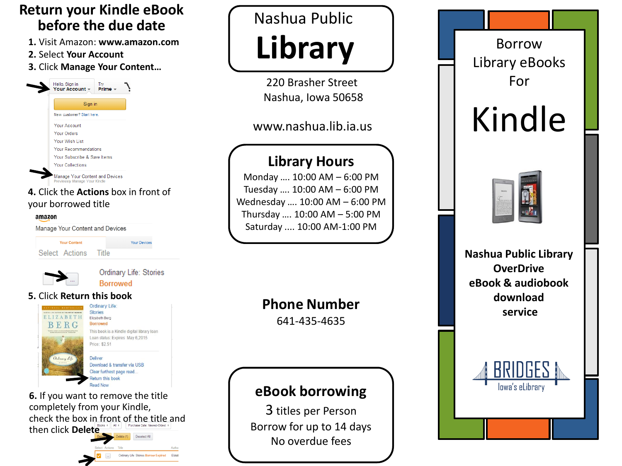### **Return your Kindle eBook before the due date**

- **1.** Visit Amazon: **www.amazon.com**
- **2.** Select **Your Account**
- **3.** Click **Manage Your Content…**



#### **4.** Click the **Actions** box in front of your borrowed title

#### amazon

Manage Your Content and Devices

| <b>Your Content</b>  | <b>Your Device</b> |
|----------------------|--------------------|
| Select Actions Title |                    |



Ordinary Life: Stories **Borrowed** 

#### **5.** Click **Return this book**



**6.** If you want to remove the title completely from your Kindle, check the box in front of the title and then click **Delete**

Ordinary Life: Stories Borrow Expired

## Nashua Public **Library**

220 Brasher Street Nashua, Iowa 50658

#### www.nashua.lib.ia.us

## **Library Hours**

Monday …. 10:00 AM – 6:00 PM Tuesday …. 10:00 AM – 6:00 PM Wednesday …. 10:00 AM – 6:00 PM Thursday …. 10:00 AM – 5:00 PM Saturday .... 10:00 AM-1:00 PM

## **Phone Number**

641-435-4635

## **eBook borrowing**

3 titles per Person Borrow for up to 14 days No overdue fees



# Kindle



**Nashua Public Library OverDrive eBook & audiobook download service**